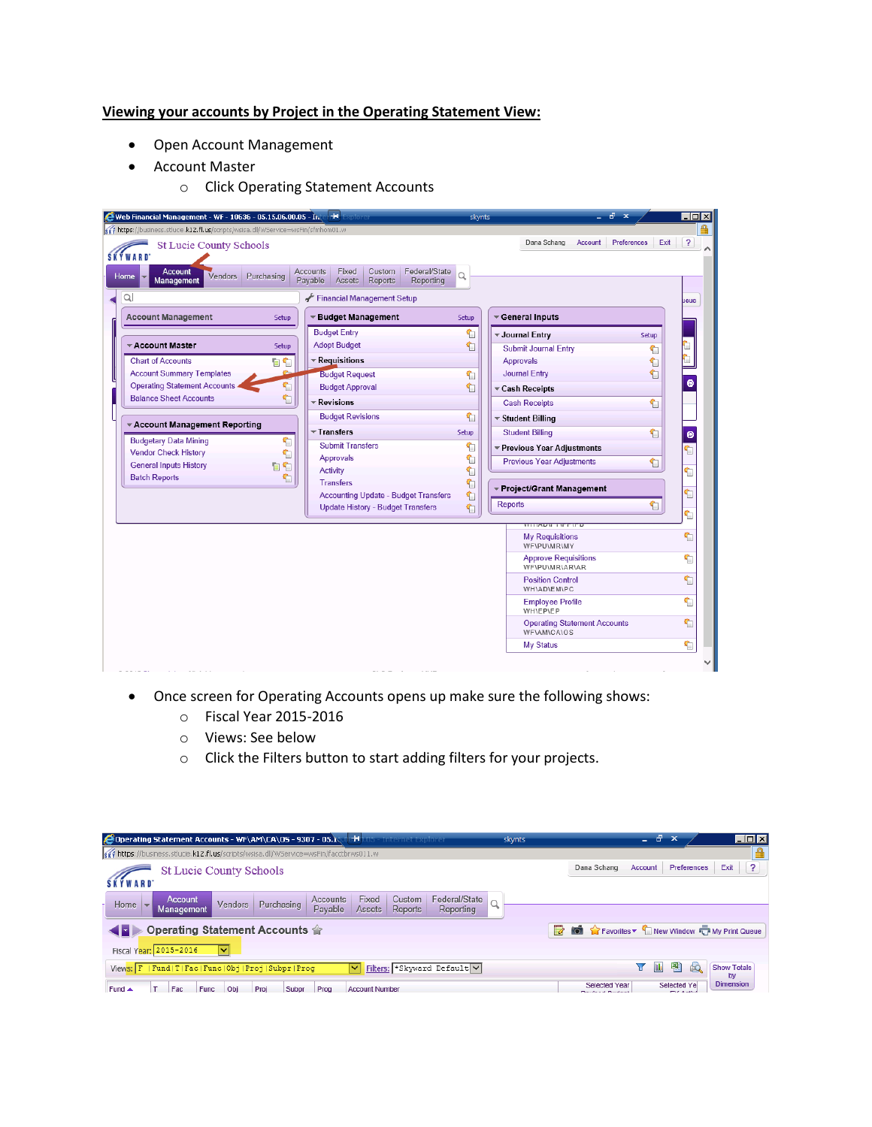## **Viewing your accounts by Project in the Operating Statement View:**

- Open Account Management
- Account Master
	- o Click Operating Statement Accounts

| s of https://business.stlucie.k12.fl.us/scripts/wsisa.dll/WService=wsFin/sfmhom01.w |            |                                                                                                         |          | Preferences<br>Dana Schang<br>Account                     | $\overline{\mathbf{r}}$<br>Exit |
|-------------------------------------------------------------------------------------|------------|---------------------------------------------------------------------------------------------------------|----------|-----------------------------------------------------------|---------------------------------|
| <b>St Lucie County Schools</b><br><b>SKÝWARD</b>                                    |            |                                                                                                         |          |                                                           |                                 |
| <b>Account</b><br>Vendors<br>Home<br><b>Management</b>                              | Purchasing | Federal/State<br>Fixed<br>Custom<br><b>Accounts</b><br>Payable<br>Reports<br>Reporting<br><b>Assets</b> | $\Omega$ |                                                           |                                 |
| Q                                                                                   |            | Financial Management Setup                                                                              |          |                                                           | leue                            |
| <b>Account Management</b>                                                           | Setup      | ▼ Budget Management                                                                                     | Setup    | General Inputs                                            |                                 |
|                                                                                     |            | <b>Budget Entry</b>                                                                                     | €        | <b>▼ Journal Entry</b><br><b>Setup</b>                    |                                 |
| ▼ Account Master                                                                    | Setup      | <b>Adopt Budget</b>                                                                                     | 们        | <b>Submit Journal Entry</b><br>↰                          |                                 |
| <b>Chart of Accounts</b>                                                            | 日旬         | <b>▼ Requisitions</b>                                                                                   |          | Approvals<br>€                                            |                                 |
| <b>Account Summary Templates</b>                                                    | æ.         | <b>Budget Request</b>                                                                                   | Ŷ        | 们<br><b>Journal Entry</b>                                 |                                 |
| <b>Operating Statement Accounts</b>                                                 | €          | <b>Budget Approval</b>                                                                                  | 们        | ▼ Cash Receipts                                           |                                 |
| <b>Balance Sheet Accounts</b>                                                       | €          | ▼ Revisions                                                                                             |          | <b>Cash Receipts</b><br>钔                                 |                                 |
|                                                                                     |            | <b>Budget Revisions</b>                                                                                 | 1        | ▼ Student Billing                                         |                                 |
| * Account Management Reporting                                                      |            | $\overline{\phantom{a}}$ Transfers                                                                      | Setup    | <b>Student Billing</b><br>们                               | $\bullet$                       |
| <b>Budgetary Data Mining</b>                                                        | €          | <b>Submit Transfers</b>                                                                                 | ↰        | ▼ Previous Year Adjustments                               | ٢ī                              |
| <b>Vendor Check History</b>                                                         | €          | Approvals                                                                                               | €        | <b>Previous Year Adjustments</b><br>钔                     |                                 |
| <b>General Inputs History</b>                                                       | 自行         | Activity                                                                                                | €        |                                                           | €                               |
| <b>Batch Reports</b>                                                                | 们          | <b>Transfers</b>                                                                                        | €        | ▼ Project/Grant Management                                |                                 |
|                                                                                     |            | <b>Accounting Update - Budget Transfers</b>                                                             | €        | <b>Reports</b>                                            | Ù                               |
|                                                                                     |            | <b>Update History - Budget Transfers</b>                                                                | €        |                                                           | ↰<br>٢                          |
|                                                                                     |            |                                                                                                         |          | <b>IN THE REAL PROPERTY OF A</b>                          |                                 |
|                                                                                     |            |                                                                                                         |          | <b>My Requisitions</b><br>WF\PU\MR\MY                     | €,                              |
|                                                                                     |            |                                                                                                         |          | <b>Approve Requisitions</b><br>WF\PU\MR\AR\AR             | €                               |
|                                                                                     |            |                                                                                                         |          | <b>Position Control</b><br><b>WH\AD\EM\PC</b>             | ٢                               |
|                                                                                     |            |                                                                                                         |          | <b>Employee Profile</b><br><b>WH\EP\EP</b>                | ٢                               |
|                                                                                     |            |                                                                                                         |          | <b>Operating Statement Accounts</b><br><b>WFIAMICAIOS</b> | ٢                               |
|                                                                                     |            |                                                                                                         |          | <b>My Status</b>                                          | ٠                               |

- Once screen for Operating Accounts opens up make sure the following shows:
	- o Fiscal Year 2015-2016
	- o Views: See below
	- o Click the Filters button to start adding filters for your projects.

| <b>C</b> Operating Statement Accounts - WF\AM\CA\OS - 9307 - 05.1<br>skynts                                                                                                  | -61<br>$\blacksquare\square$ $\times$<br>$\mathbf{x}$<br>-                                                                           |  |  |  |  |  |  |  |
|------------------------------------------------------------------------------------------------------------------------------------------------------------------------------|--------------------------------------------------------------------------------------------------------------------------------------|--|--|--|--|--|--|--|
| s of https://business.stlucie.k12.fl.us/scripts/wsisa.dll/WService=wsFin/facctbrws011.w                                                                                      |                                                                                                                                      |  |  |  |  |  |  |  |
| <b>St Lucie County Schools</b><br><b>SKÝWARD</b>                                                                                                                             | $\sqrt{ }$<br>Exit<br><b>Preferences</b><br>Dana Schang<br>Account                                                                   |  |  |  |  |  |  |  |
| Federal/State<br>Fixed<br>Custom<br>Account<br>Accounts<br>Q<br>Purchasing<br>Vendors<br>Home<br>Payable<br><b>Reports</b><br><b>Assets</b><br>Reporting<br>Management       |                                                                                                                                      |  |  |  |  |  |  |  |
| Operating Statement Accounts 合<br>◀◪▶<br>Fiscal Year: 2015-2016<br>M                                                                                                         | Favorites V New Window TI My Print Queue                                                                                             |  |  |  |  |  |  |  |
| Filters: *Skyward Default<br>Views: F   Fund   T  Fac  Func  Obj   Proj   Subpr  Prog<br>M<br>Fund ▲<br>Fac<br>Obi<br>Func<br><b>Account Number</b><br>Proj<br>Prog<br>Subpr | 剛<br>Ш<br><b>Show Totals</b><br>by<br><b>Dimension</b><br>Selected Ye<br><b>Selected Year</b><br><b>CALLA</b><br>Developed Developed |  |  |  |  |  |  |  |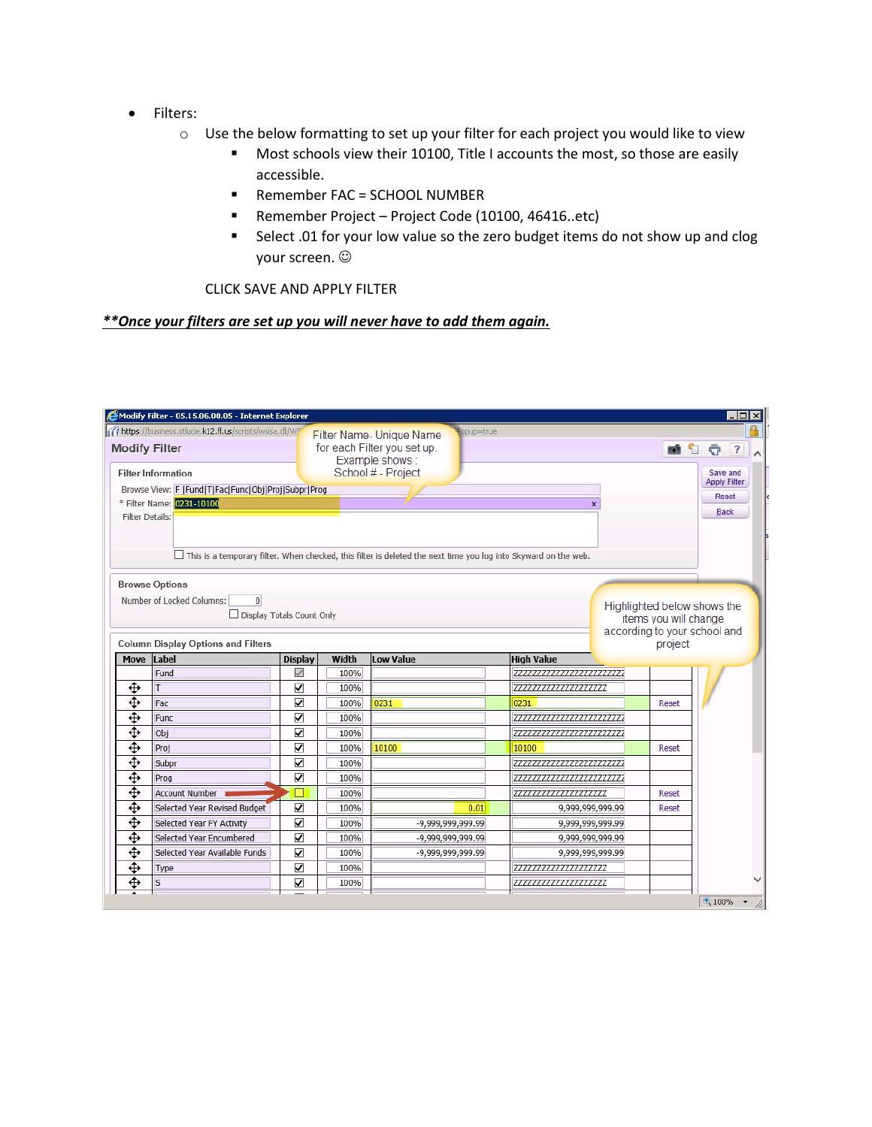- Filters:
	- o Use the below formatting to set up your filter for each project you would like to view
		- **Most schools view their 10100, Title I accounts the most, so those are easily** accessible.
		- Remember FAC = SCHOOL NUMBER
		- Remember Project Project Code (10100, 46416..etc)
		- **Select .01 for your low value so the zero budget items do not show up and clog** your screen.

CLICK SAVE AND APPLY FILTER

## *\*\*Once your filters are set up you will never have to add them again.*

|                 |                                                                                                          | Modify Filter - 05.15.06.00.05 - Internet Explorer |              |                                                                                                                        |                                                  |                                                             |                       | $\blacksquare$ $\blacksquare$ $\times$ |
|-----------------|----------------------------------------------------------------------------------------------------------|----------------------------------------------------|--------------|------------------------------------------------------------------------------------------------------------------------|--------------------------------------------------|-------------------------------------------------------------|-----------------------|----------------------------------------|
|                 | https://business.stlucie.k12.fl.us/scripts/wsisa.dll/WS<br><b>Modify Filter</b>                          |                                                    |              | opup=true<br>Filter Name- Unique Name<br>for each Filter you set up.<br>Example shows:                                 |                                                  |                                                             | io.<br>€              | $\overline{?}$<br>÷                    |
|                 | <b>Filter Information</b>                                                                                |                                                    |              | School # - Project                                                                                                     |                                                  |                                                             |                       | Save and<br><b>Apply Filter</b>        |
|                 | Browse View: F  Fund T Fac Func Obj Proj Subpr Prog                                                      |                                                    |              |                                                                                                                        |                                                  |                                                             |                       | Reset                                  |
| Filter Details: | * Filter Name: 0231-10100                                                                                |                                                    |              |                                                                                                                        | $\mathbf{x}$                                     |                                                             |                       | <b>Back</b>                            |
|                 |                                                                                                          |                                                    |              | $\Box$ This is a temporary filter. When checked, this filter is deleted the next time you log into Skyward on the web. |                                                  |                                                             |                       |                                        |
|                 | <b>Browse Options</b><br>Number of Locked Columns:<br>$\overline{0}$<br>$\Box$ Display Totals Count Only |                                                    |              |                                                                                                                        |                                                  | Highlighted below shows the<br>according to your school and | items you will change |                                        |
| Move            | <b>Column Display Options and Filters</b><br>Label                                                       | <b>Display</b>                                     | Width        | <b>Low Value</b>                                                                                                       | <b>High Value</b>                                |                                                             | project               |                                        |
|                 | Fund                                                                                                     | $\checkmark$                                       | 100%         |                                                                                                                        | 7777777777777777777777777                        |                                                             |                       |                                        |
| ⊕               | т                                                                                                        | ☑                                                  | 100%         |                                                                                                                        | 7777777777777777777777                           |                                                             |                       |                                        |
| ⊕               |                                                                                                          |                                                    |              |                                                                                                                        |                                                  |                                                             |                       |                                        |
|                 | Fac                                                                                                      | $\overline{\mathbf{v}}$                            | 100%         | 0231                                                                                                                   | 0231                                             |                                                             | Reset                 |                                        |
| ⊕               | <b>Func</b>                                                                                              | $\overline{\mathbf{v}}$                            | 100%         |                                                                                                                        | 77777777777777777777777777                       |                                                             |                       |                                        |
| ⊕               | Obj                                                                                                      | ⊽                                                  | 100%         |                                                                                                                        | 77777777777777777777777777                       |                                                             |                       |                                        |
| ⊕               | Proj                                                                                                     | $\blacktriangledown$                               | 100%         | 10100                                                                                                                  | 10100                                            |                                                             | Reset                 |                                        |
|                 | Subpr                                                                                                    | $\blacktriangledown$                               | 100%         |                                                                                                                        | 7777777777777777777777777                        |                                                             |                       |                                        |
| ⊕               | Prog                                                                                                     | $\blacktriangledown$                               | 100%         |                                                                                                                        | 7777777777777777777777777                        |                                                             |                       |                                        |
| ⊕               | <b>Account Number</b>                                                                                    |                                                    | 100%         |                                                                                                                        | 222222222222222222222                            |                                                             | Reset                 |                                        |
| ⊕               | Selected Year Revised Budget                                                                             | ☑                                                  | 100%         | 0.01                                                                                                                   | 9,999,999,999.99                                 |                                                             | Reset                 |                                        |
| ⊕               | Selected Year FY Activity                                                                                | $\blacktriangledown$                               | 100%         | -9,999,999,999.99                                                                                                      | 9,999,999,999.99                                 |                                                             |                       |                                        |
| ⊕               | Selected Year Encumbered                                                                                 | $\blacktriangledown$                               | 100%         | -9,999,999,999.99                                                                                                      | 9,999,999,999.99                                 |                                                             |                       |                                        |
| ⊕               | Selected Year Available Funds                                                                            | $\blacktriangledown$                               | 100%         | -9,999,999,999.99                                                                                                      | 9,999,999,999,99                                 |                                                             |                       |                                        |
| ⊕<br>⊕          | Type<br><sub>S</sub>                                                                                     | ✓<br>$\overline{\mathbf{v}}$                       | 100%<br>100% |                                                                                                                        | 77777777777777777777777<br>777777777777777777777 |                                                             |                       |                                        |